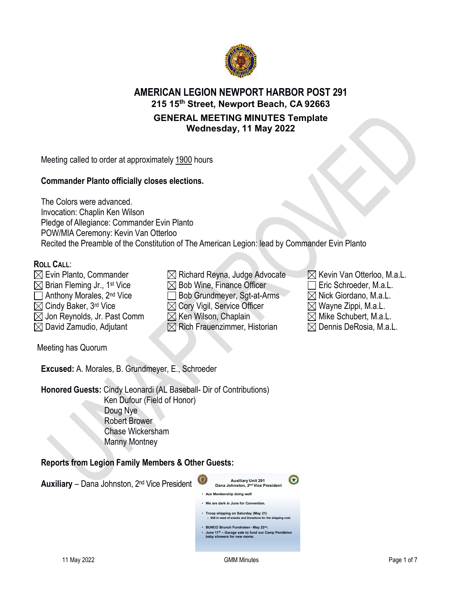

# **AMERICAN LEGION NEWPORT HARBOR POST 291 215 15th Street, Newport Beach, CA 92663 GENERAL MEETING MINUTES Template**

**Wednesday, 11 May 2022**

Meeting called to order at approximately 1900 hours

# **Commander Planto officially closes elections.**

The Colors were advanced. Invocation: Chaplin Ken Wilson Pledge of Allegiance: Commander Evin Planto POW/MIA Ceremony: Kevin Van Otterloo Recited the Preamble of the Constitution of The American Legion: lead by Commander Evin Planto

# **ROLL CALL**:

- $\boxtimes$  Evin Planto, Commander  $\boxtimes$  Richard Reyna, Judge Advocate  $\boxtimes$  Kevin Van Otterloo, M.a.L.
- 
- 
- 
- 

Meeting has Quorum

**Excused:** A. Morales, B. Grundmeyer, E., Schroeder

**Honored Guests:** Cindy Leonardi (AL Baseball- Dir of Contributions) Ken Dufour (Field of Honor) Doug Nye Robert Brower Chase Wickersham Manny Montney

# **Reports from Legion Family Members & Other Guests:**



- $\boxtimes$  Brian Fleming Jr., 1st Vice  $\boxtimes$  Bob Wine, Finance Officer  $\Box$  Eric Schroeder, M.a.L.  $\Box$  Anthony Morales, 2<sup>nd</sup> Vice  $\Box$  Bob Grundmeyer, Sgt-at-Arms  $\Box$  Nick Giordano, M.a.L.  $\boxtimes$  Cindy Baker, 3<sup>rd</sup> Vice  $\boxtimes$   $\boxtimes$  Cory Vigil, Service Officer  $\boxtimes$  Wayne Zippi, M.a.L.  $\boxtimes$  Jon Reynolds, Jr. Past Comm  $\textcircled{X}$  Ken Wilson, Chaplain  $\textcircled{X}$  Mike Schubert, M.a.L.  $\boxtimes$  David Zamudio, Adjutant  $\boxtimes$  Rich Frauenzimmer, Historian  $\boxtimes$  Dennis DeRosia, M.a.L.
- -
	-
	-
	-
	-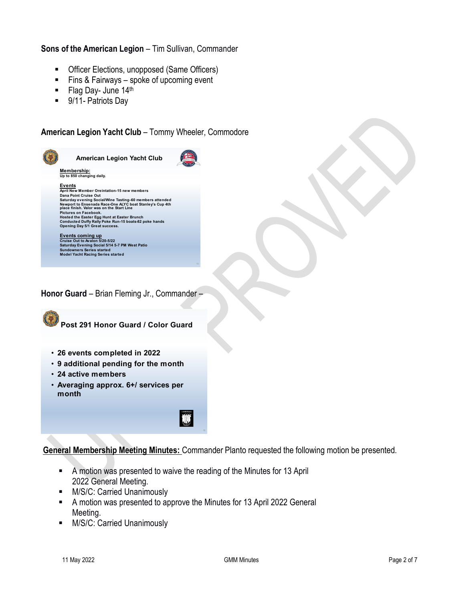# **Sons of the American Legion** – Tim Sullivan, Commander

- **•** Officer Elections, unopposed (Same Officers)
- Fins & Fairways spoke of upcoming event
- Flag Day- June 14th
- 9/11- Patriots Day

# **American Legion Yacht Club** – Tommy Wheeler, Commodore



**Honor Guard** – Brian Fleming Jr., Commander –



**Post 291 Honor Guard / Color Guard**

- **26 events completed in 2022**
- **9 additional pending for the month**
- **24 active members**
- **Averaging approx. 6+/ services per month**

**General Membership Meeting Minutes:** Commander Planto requested the following motion be presented.

- A motion was presented to waive the reading of the Minutes for 13 April 2022 General Meeting.
- **M/S/C: Carried Unanimously**
- A motion was presented to approve the Minutes for 13 April 2022 General Meeting.
- **M/S/C: Carried Unanimously**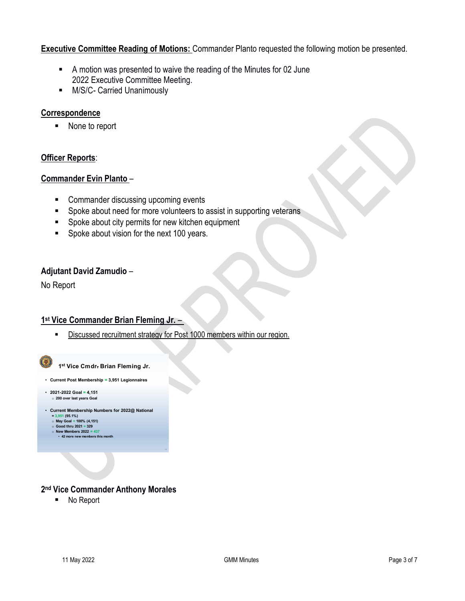# **Executive Committee Reading of Motions:** Commander Planto requested the following motion be presented.

- A motion was presented to waive the reading of the Minutes for 02 June 2022 Executive Committee Meeting.
- **M/S/C- Carried Unanimously**

# **Correspondence**

■ None to report

# **Officer Reports**:

# **Commander Evin Planto** –

- Commander discussing upcoming events
- **Spoke about need for more volunteers to assist in supporting veterans**
- **Spoke about city permits for new kitchen equipment**
- **Spoke about vision for the next 100 years.**

# **Adjutant David Zamudio** –

No Report

# **1st Vice Commander Brian Fleming Jr.** –

**EXECT** Discussed recruitment strategy for Post 1000 members within our region.



# **2nd Vice Commander Anthony Morales**

■ No Report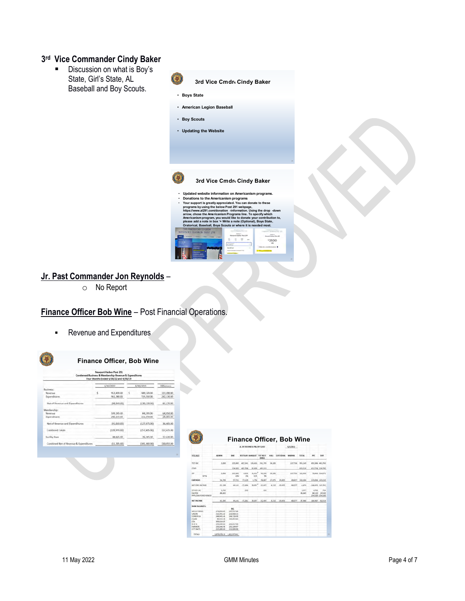# **3rd Vice Commander Cindy Baker**

**Discussion on what is Boy's** State, Girl's State, AL Baseball and Boy Scouts.





o No Report

# **Finance Officer Bob Wine** – Post Financial Operations.

**Revenue and Expenditures** 



#### **Finance Officer, Bob Wine**

|                                        | 4/30/2022 |              | 4/30/2019 |                | Difference |  |
|----------------------------------------|-----------|--------------|-----------|----------------|------------|--|
| Rusiness:                              |           |              |           |                |            |  |
| Revenue                                | s         | 912,420.00   | š         | 589,120.00     | 123,100.DO |  |
| Expenditures.                          |           | 961,380.00   |           | 719,250.00     | 242,130.00 |  |
| Net of Revenue and Expenditures        |           | (48,960.00)  |           | (130, 130.00)  | 81,170.00  |  |
| Membership:                            |           |              |           |                |            |  |
| Reyenue                                |           | 149, 145, 00 |           | 84.195.00      | 64,950.00  |  |
| Expenditures                           |           | 240,155.00   |           | 211.670.00     | 78.485.00  |  |
| Net of Revenue and Expenditures        |           | (91.010.00)  |           | (127, 475, 00) | 36,465.00  |  |
| Combined Totals                        |           | (139,970.00) |           | (257,605,00)   | 117,635.00 |  |
| Facility Fees                          |           | 88,665,00    |           | 76,245.00      | 12,420.00  |  |
| Combined Net of Revenue & Expenditures |           | (51,305,00)  |           | (181, 360.00)  | 130,055.00 |  |

|                             |                     | AL 295 BUSINESS PAL BY CLASS |                |             |                  |                         | S/M2022     |                  |               |                 |                  |                                             |
|-----------------------------|---------------------|------------------------------|----------------|-------------|------------------|-------------------------|-------------|------------------|---------------|-----------------|------------------|---------------------------------------------|
| TD 2022                     |                     | <b>ADMIN</b>                 | <b>MAR</b>     |             | RESTAUR: BANCART | TOT REST<br><b>BAAQ</b> | <b>HALL</b> | <b>DUSTODIAL</b> | <b>MARINA</b> | <b>TOTAL</b>    | PIC              | C61                                         |
| OT INC.                     |                     | 3,600                        | 235,865        | 407, 341    | 134,424          | 541,765                 | 34,185      |                  | 117,734       | 953, 149        | 491,386 461,783  |                                             |
| DOS <sup></sup>             |                     |                              | 134,007        | 402,706     | 92,809           | 495.515                 |             |                  |               | 629,518         | 412,726 216,792  |                                             |
| ä                           | <b>CDN</b>          | 3,600                        | 101,862<br>43% | 4,635<br>1% | 41,615<br>31W    | 46,250<br>5%            | 34,185      |                  | 137,734       | 323,630         |                  | 78,660 244,971                              |
| XPENSES                     |                     | 54,709                       | 57.721         | 77.129      | 1,758            | 78,887                  | 27.875      | 35,455           | 69.657        | 328,304         | 225,094, 103,210 |                                             |
| ET ORD INCOME               |                     | -51,529                      | 48,543         | $-72.494$   | 19, 857          | $-32.637$               | 6,310       | -29.455          | 66,077        | $-4.676$        | 146,435 141,762  |                                             |
| THER INC.<br>AC FEE         | PP LOAN FORGIVENESS | 3,745<br>88,865              |                | 353         |                  | 23.1                    |             |                  |               | 8,977<br>88,665 | 4.702            | $-324$<br>68,120 20.545<br>254,100 -254,100 |
| <b><i>ARCOME</i></b>        |                     | 41,500                       | 44, 141        | $-72.361$   | 39,857           | $-32,405$               | 6,310       | $-29.455$        | 68,077        | 87,968          | 180,487 - 62,519 |                                             |
| <b><i>ANK BALANCES:</i></b> |                     |                              | PYC.           |             |                  |                         |             |                  |               |                 |                  |                                             |
| <b>VELLS FAIRIGO</b>        |                     | 276,856.83                   | 205.517.68     |             |                  |                         |             |                  |               |                 |                  |                                             |
| NOW                         |                     | 222,253,42                   | 210,930.13     |             |                  |                         |             |                  |               |                 |                  |                                             |
| OMERICA                     |                     | 246,945.46                   | 246.736.00     |             |                  |                         |             |                  |               |                 |                  |                                             |
| <b>HASE</b>                 |                     | 99.025.39                    | 245,652.63     |             |                  |                         |             |                  |               |                 |                  |                                             |
| b.                          |                     | 100,014.05                   |                |             |                  |                         |             |                  |               |                 |                  |                                             |
| OFA                         |                     | 250,040.00                   | 250.017.00     |             |                  |                         |             |                  |               |                 |                  |                                             |
| <b>ARMERS</b>               |                     | 250,246.98                   | 255.326.97     |             |                  |                         |             |                  |               |                 |                  |                                             |
| ITY NAT'L                   |                     | 225,000.00                   | 230,000.00     |             |                  |                         |             |                  |               |                 |                  |                                             |
| <b>TOTALS</b>               |                     | 1,870,378.13 1,622,973.41    |                |             |                  |                         |             |                  |               |                 |                  |                                             |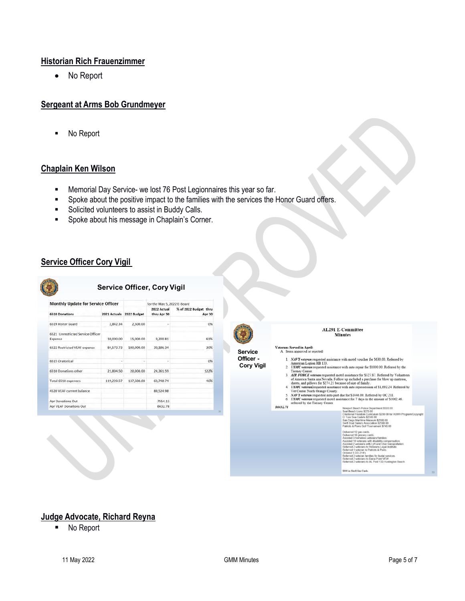# **Historian Rich Frauenzimmer**

• No Report

# **Sergeant at Arms Bob Grundmeyer**

■ No Report

# **Chaplain Ken Wilson**

- **Memorial Day Service- we lost 76 Post Legionnaires this year so far.**
- **Spoke about the positive impact to the families with the services the Honor Guard offers.**
- **Solicited volunteers to assist in Buddy Calls.**
- **Spoke about his message in Chaplain's Corner.**

# **Service Officer Cory Vigil**

**CARL CARDS** 

| <b>Monthly Update for Service Officer</b>    |              |             | for the May 5, 2022 E-Board |                                 |
|----------------------------------------------|--------------|-------------|-----------------------------|---------------------------------|
| <b>6510 Donations</b>                        | 2021 Actuals | 2022 Budget | 2022 Actual<br>thru Apr 30  | % of 2022 Budget thru<br>Apr 30 |
| 6519 Honor Guard                             | 2,842.34     | 2,500.00    |                             | 0%                              |
| 6521 Unrestricted Service Officer<br>Expense | 10,000.00    | 15,000.00   | 9,200.81                    | 61%                             |
| 6522 Restricted VEAF expense                 | 84,573.73    | 100,000.00  | 30,186.34                   | 30%                             |
| 6515 Oratorical                              |              |             |                             | 0%                              |
| 6510 Donations other                         | 21,804.50    | 20,000.00   | 24,361.59                   | 122%                            |
| Total 6510 expenses                          | 119,220.57   | 137,500.00  | 63,748.74                   | 46%                             |
| 4520 VEAF current balance                    |              |             | 89,524.98                   |                                 |
| <b>Apr Donations Out</b>                     |              |             | 7554.13                     |                                 |
| Apr VEAF Donations Out                       |              |             | 6632.78                     |                                 |



38

AL291 E-Committee **Minutes** 

# Veterans Served in April:<br>A. Items approved or rejected:

**Service Officer - Cory Vigil**

- 1.  $NAVY$  veterar requested assistance with motel voucher for \$630.00. Referred by<br>American Legion HB 133.<br>2.  $USMC$  veterar requested assistance with auto repair for \$1000.00. Referred by the<br> $U$  Cienter Center
- 2. EMOC veterant requested assistance with auto repair for \$1000.00. Referred by the Tower Correct control of the control of the CORC weterant requested motel assistance for \$522/87. Referred by Volunteers of AIR CBMC con
- -

\$6432.78

 $00.0029$  too ach Police Department \$500.00<br>Lions \$279.00<br>reedom Curriculum \$200.00 for HUMV Pro<br>Cadets \$2500.00<br>Caritime Museum \$2500.00 ,<br>\$2500.00<br>n \$2500.00

**SS00** in Shell Gas Cards.

# **Judge Advocate, Richard Reyna**

■ No Report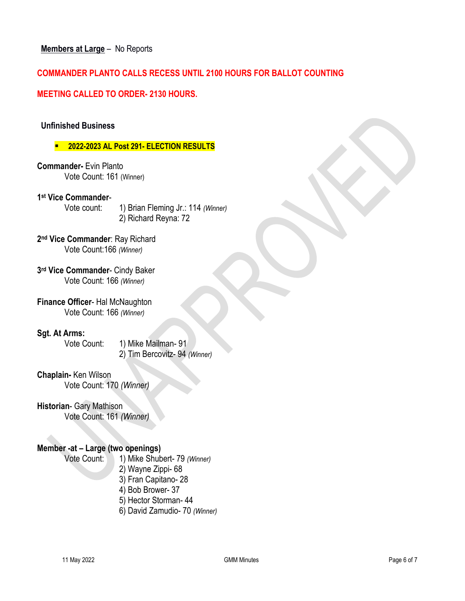# **COMMANDER PLANTO CALLS RECESS UNTIL 2100 HOURS FOR BALLOT COUNTING**

# **MEETING CALLED TO ORDER- 2130 HOURS.**

# **Unfinished Business**

# **2022-2023 AL Post 291- ELECTION RESULTS**

**Commander-** Evin Planto Vote Count: 161 (Winner)

## **1st Vice Commander**-

Vote count: 1) Brian Fleming Jr.: 114 *(Winner)* 2) Richard Reyna: 72

**2nd Vice Commander**: Ray Richard Vote Count:166 *(Winner)*

**3rd Vice Commander**- Cindy Baker Vote Count: 166 *(Winner)*

**Finance Officer**- Hal McNaughton Vote Count: 166 *(Winner)*

#### **Sgt. At Arms:**

Vote Count: 1) Mike Mailman- 91 2) Tim Bercovitz- 94 *(Winner)*

#### **Chaplain-** Ken Wilson

Vote Count: 170 *(Winner)*

# **Historian**- Gary Mathison

Vote Count: 161 *(Winner)*

# **Member -at – Large (two openings)**

Vote Count: 1) Mike Shubert- 79 *(Winner)*

- 2) Wayne Zippi- 68
- 3) Fran Capitano- 28
- 4) Bob Brower- 37
- 5) Hector Storman- 44
- 6) David Zamudio- 70 *(Winner)*